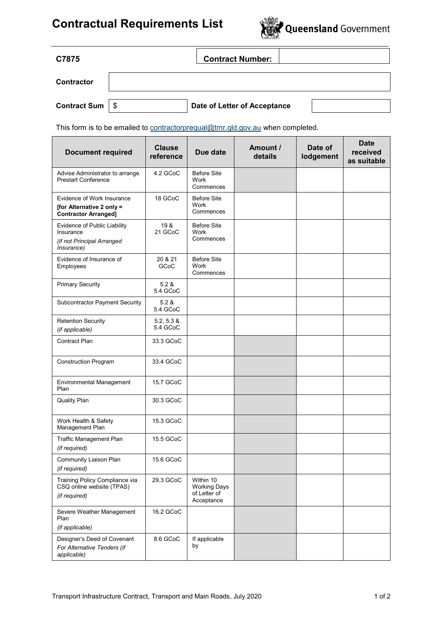## **Contractual Requirements List**



| C7875               |      | <b>Contract Number:</b>      |  |
|---------------------|------|------------------------------|--|
| <b>Contractor</b>   |      |                              |  |
| <b>Contract Sum</b> | - \$ | Date of Letter of Acceptance |  |

This form is to be emailed to contractorprequal@tmr.qld.gov.au when completed.

| <b>Document required</b>                                                               | <b>Clause</b><br>reference | Due date                                                       | Amount /<br>details | Date of<br>lodgement | <b>Date</b><br>received<br>as suitable |
|----------------------------------------------------------------------------------------|----------------------------|----------------------------------------------------------------|---------------------|----------------------|----------------------------------------|
| Advise Administrator to arrange<br><b>Prestart Conference</b>                          | 4.2 GCoC                   | <b>Before Site</b><br>Work<br>Commences                        |                     |                      |                                        |
| Evidence of Work Insurance<br>[for Alternative 2 only =<br><b>Contractor Arranged]</b> | 18 GCoC                    | <b>Before Site</b><br>Work<br>Commences                        |                     |                      |                                        |
| Evidence of Public Liability<br>Insurance<br>(if not Principal Arranged<br>Insurance)  | 19 &<br>21 GCoC            | <b>Before Site</b><br>Work<br>Commences                        |                     |                      |                                        |
| Evidence of Insurance of<br>Employees                                                  | 20 & 21<br>GCoC            | <b>Before Site</b><br>Work<br>Commences                        |                     |                      |                                        |
| <b>Primary Security</b>                                                                | 5.2 &<br>5.4 GCoC          |                                                                |                     |                      |                                        |
| <b>Subcontractor Payment Security</b>                                                  | 5.2 &<br>5.4 GCoC          |                                                                |                     |                      |                                        |
| <b>Retention Security</b><br>(if applicable)                                           | 5.2, 5.3 &<br>5.4 GCoC     |                                                                |                     |                      |                                        |
| <b>Contract Plan</b>                                                                   | 33.3 GCoC                  |                                                                |                     |                      |                                        |
| <b>Construction Program</b>                                                            | 33.4 GCoC                  |                                                                |                     |                      |                                        |
| <b>Environmental Management</b><br>Plan                                                | 15.7 GCoC                  |                                                                |                     |                      |                                        |
| Quality Plan                                                                           | 30.3 GCoC                  |                                                                |                     |                      |                                        |
| Work Health & Safety<br>Management Plan                                                | 15.3 GCoC                  |                                                                |                     |                      |                                        |
| Traffic Management Plan<br>(if required)                                               | 15.5 GCoC                  |                                                                |                     |                      |                                        |
| Community Liaison Plan<br>(if required)                                                | 15.6 GCoC                  |                                                                |                     |                      |                                        |
| Training Policy Compliance via<br>CSQ online website (TPAS)<br>(if required)           | 29.3 GCoC                  | Within 10<br><b>Working Days</b><br>of Letter of<br>Acceptance |                     |                      |                                        |
| Severe Weather Management<br>Plan<br>(if applicable)                                   | 16.2 GCoC                  |                                                                |                     |                      |                                        |
| Designer's Deed of Covenant<br>For Alternative Tenders (if<br>applicable)              | 8.6 GCoC                   | If applicable<br>by                                            |                     |                      |                                        |